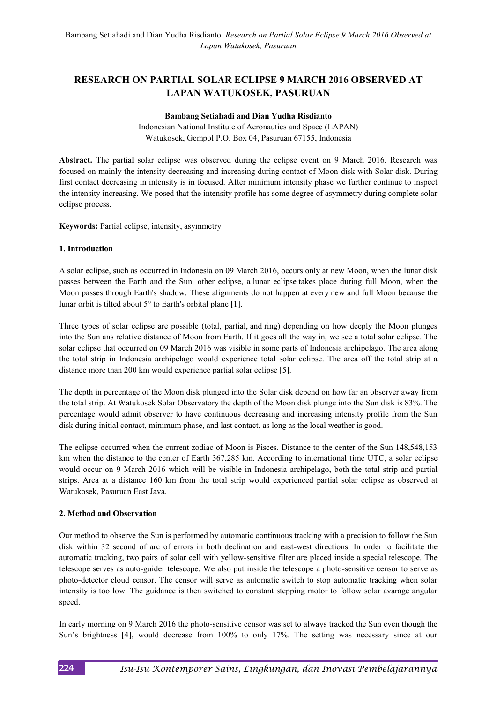# **RESEARCH ON PARTIAL SOLAR ECLIPSE 9 MARCH 2016 OBSERVED AT LAPAN WATUKOSEK, PASURUAN**

#### **Bambang Setiahadi and Dian Yudha Risdianto**

Indonesian National Institute of Aeronautics and Space (LAPAN) Watukosek, Gempol P.O. Box 04, Pasuruan 67155, Indonesia

**Abstract.** The partial solar eclipse was observed during the eclipse event on 9 March 2016. Research was focused on mainly the intensity decreasing and increasing during contact of Moon-disk with Solar-disk. During first contact decreasing in intensity is in focused. After minimum intensity phase we further continue to inspect the intensity increasing. We posed that the intensity profile has some degree of asymmetry during complete solar eclipse process.

**Keywords:** Partial eclipse, intensity, asymmetry

### **1. Introduction**

A solar eclipse, such as occurred in Indonesia on 09 March 2016, occurs only at new Moon, when the lunar disk passes between the Earth and the Sun. other eclipse, a lunar eclipse takes place during full Moon, when the Moon passes through Earth's shadow. These alignments do not happen at every new and full Moon because the lunar orbit is tilted about 5° to Earth's orbital plane [1].

Three types of solar eclipse are possible (total, partial, and ring) depending on how deeply the Moon plunges into the Sun ans relative distance of Moon from Earth. If it goes all the way in, we see a total solar eclipse. The solar eclipse that occurred on 09 March 2016 was visible in some parts of Indonesia archipelago. The area along the total strip in Indonesia archipelago would experience total solar eclipse. The area off the total strip at a distance more than 200 km would experience partial solar eclipse [5].

The depth in percentage of the Moon disk plunged into the Solar disk depend on how far an observer away from the total strip. At Watukosek Solar Observatory the depth of the Moon disk plunge into the Sun disk is 83%. The percentage would admit observer to have continuous decreasing and increasing intensity profile from the Sun disk during initial contact, minimum phase, and last contact, as long as the local weather is good.

The eclipse occurred when the current zodiac of Moon is Pisces. Distance to the center of the Sun 148,548,153 km when the distance to the center of Earth 367,285 km. According to international time UTC, a solar eclipse would occur on 9 March 2016 which will be visible in Indonesia archipelago, both the total strip and partial strips. Area at a distance 160 km from the total strip would experienced partial solar eclipse as observed at Watukosek, Pasuruan East Java.

## **2. Method and Observation**

Our method to observe the Sun is performed by automatic continuous tracking with a precision to follow the Sun disk within 32 second of arc of errors in both declination and east-west directions. In order to facilitate the automatic tracking, two pairs of solar cell with yellow-sensitive filter are placed inside a special telescope. The telescope serves as auto-guider telescope. We also put inside the telescope a photo-sensitive censor to serve as photo-detector cloud censor. The censor will serve as automatic switch to stop automatic tracking when solar intensity is too low. The guidance is then switched to constant stepping motor to follow solar avarage angular speed.

In early morning on 9 March 2016 the photo-sensitive censor was set to always tracked the Sun even though the Sun's brightness [4], would decrease from 100% to only 17%. The setting was necessary since at our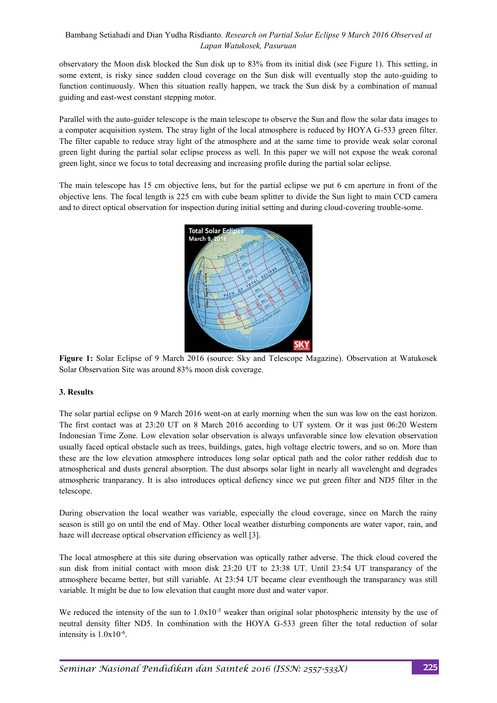# Bambang Setiahadi and Dian Yudha Risdianto*. Research on Partial Solar Eclipse 9 March 2016 Observed at Lapan Watukosek, Pasuruan*

observatory the Moon disk blocked the Sun disk up to 83% from its initial disk (see Figure 1). This setting, in some extent, is risky since sudden cloud coverage on the Sun disk will eventually stop the auto-guiding to function continuously. When this situation really happen, we track the Sun disk by a combination of manual guiding and east-west constant stepping motor.

Parallel with the auto-guider telescope is the main telescope to observe the Sun and flow the solar data images to a computer acquisition system. The stray light of the local atmosphere is reduced by HOYA G-533 green filter. The filter capable to reduce stray light of the atmosphere and at the same time to provide weak solar coronal green light during the partial solar eclipse process as well. In this paper we will not expose the weak coronal green light, since we focus to total decreasing and increasing profile during the partial solar eclipse.

The main telescope has 15 cm objective lens, but for the partial eclipse we put 6 cm aperture in front of the objective lens. The focal length is 225 cm with cube beam splitter to divide the Sun light to main CCD camera and to direct optical observation for inspection during initial setting and during cloud-covering trouble-some.



**Figure 1:** Solar Eclipse of 9 March 2016 (source: Sky and Telescope Magazine). Observation at Watukosek Solar Observation Site was around 83% moon disk coverage.

## **3. Results**

The solar partial eclipse on 9 March 2016 went-on at early morning when the sun was low on the east horizon. The first contact was at 23:20 UT on 8 March 2016 according to UT system. Or it was just 06:20 Western Indonesian Time Zone. Low elevation solar observation is always unfavorable since low elevation observation usually faced optical obstacle such as trees, buildings, gates, high voltage electric towers, and so on. More than these are the low elevation atmosphere introduces long solar optical path and the color rather reddish due to atmospherical and dusts general absorption. The dust absorps solar light in nearly all wavelenght and degrades atmospheric tranparancy. It is also introduces optical defiency since we put green filter and ND5 filter in the telescope.

During observation the local weather was variable, especially the cloud coverage, since on March the rainy season is still go on until the end of May. Other local weather disturbing components are water vapor, rain, and haze will decrease optical observation efficiency as well [3].

The local atmosphere at this site during observation was optically rather adverse. The thick cloud covered the sun disk from initial contact with moon disk 23:20 UT to 23:38 UT. Until 23:54 UT transparancy of the atmosphere became better, but still variable. At 23:54 UT became clear eventhough the transparancy was still variable. It might be due to low elevation that caught more dust and water vapor.

We reduced the intensity of the sun to  $1.0x10^{-5}$  weaker than original solar photospheric intensity by the use of neutral density filter ND5. In combination with the HOYA G-533 green filter the total reduction of solar intensity is 1.0x10-6 .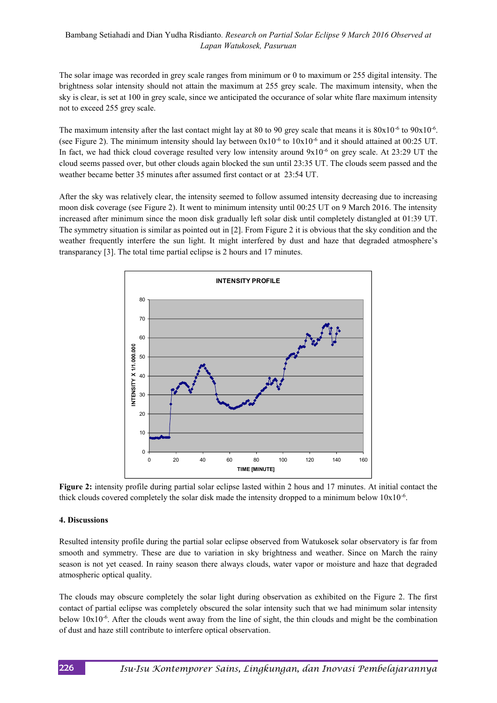# Bambang Setiahadi and Dian Yudha Risdianto*. Research on Partial Solar Eclipse 9 March 2016 Observed at Lapan Watukosek, Pasuruan*

The solar image was recorded in grey scale ranges from minimum or 0 to maximum or 255 digital intensity. The brightness solar intensity should not attain the maximum at 255 grey scale. The maximum intensity, when the sky is clear, is set at 100 in grey scale, since we anticipated the occurance of solar white flare maximum intensity not to exceed 255 grey scale.

The maximum intensity after the last contact might lay at 80 to 90 grey scale that means it is  $80x10^{-6}$  to  $90x10^{-6}$ . (see Figure 2). The minimum intensity should lay between  $0x10^{-6}$  to  $10x10^{-6}$  and it should attained at  $00:25$  UT. In fact, we had thick cloud coverage resulted very low intensity around  $9x10^{-6}$  on grey scale. At 23:29 UT the cloud seems passed over, but other clouds again blocked the sun until 23:35 UT. The clouds seem passed and the weather became better 35 minutes after assumed first contact or at 23:54 UT.

After the sky was relatively clear, the intensity seemed to follow assumed intensity decreasing due to increasing moon disk coverage (see Figure 2). It went to minimum intensity until 00:25 UT on 9 March 2016. The intensity increased after minimum since the moon disk gradually left solar disk until completely distangled at 01:39 UT. The symmetry situation is similar as pointed out in [2]. From Figure 2 it is obvious that the sky condition and the weather frequently interfere the sun light. It might interfered by dust and haze that degraded atmosphere's transparancy [3]. The total time partial eclipse is 2 hours and 17 minutes.



**Figure 2:** intensity profile during partial solar eclipse lasted within 2 hous and 17 minutes. At initial contact the thick clouds covered completely the solar disk made the intensity dropped to a minimum below 10x10-6 .

#### **4. Discussions**

Resulted intensity profile during the partial solar eclipse observed from Watukosek solar observatory is far from smooth and symmetry. These are due to variation in sky brightness and weather. Since on March the rainy season is not yet ceased. In rainy season there always clouds, water vapor or moisture and haze that degraded atmospheric optical quality.

The clouds may obscure completely the solar light during observation as exhibited on the Figure 2. The first contact of partial eclipse was completely obscured the solar intensity such that we had minimum solar intensity below 10x10-6 . After the clouds went away from the line of sight, the thin clouds and might be the combination of dust and haze still contribute to interfere optical observation.